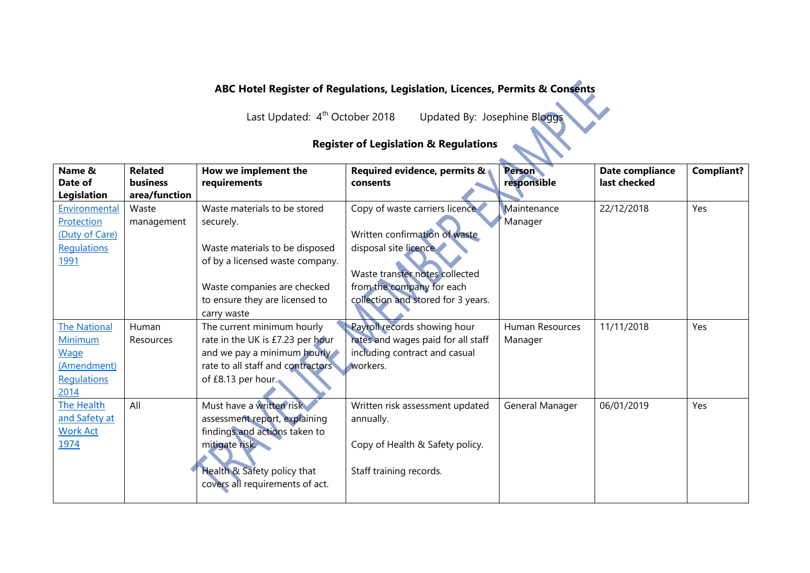## **ABC Hotel Register of Regulations, Legislation, Licences, Permits & Consents**

Last Updated: 4<sup>th</sup> October 2018

Updated By: Josephine Bloggs

## **Register of Legislation & Regulations**

| Name &                        | <b>Related</b>                   | How we implement the                                           | Required evidence, permits &       | <b>Person</b>   | Date compliance | <b>Compliant?</b> |
|-------------------------------|----------------------------------|----------------------------------------------------------------|------------------------------------|-----------------|-----------------|-------------------|
| Date of<br><b>Legislation</b> | <b>business</b><br>area/function | requirements                                                   | consents                           | responsible     | last checked    |                   |
| Environmental                 | Waste                            | Waste materials to be stored                                   | Copy of waste carriers licence     | Maintenance     | 22/12/2018      | Yes               |
| Protection                    | management                       | securely.                                                      |                                    | Manager         |                 |                   |
| (Duty of Care)                |                                  |                                                                | Written confirmation of waste      |                 |                 |                   |
| Regulations                   |                                  | Waste materials to be disposed                                 | disposal site licence              |                 |                 |                   |
| <u>1991</u>                   |                                  | of by a licensed waste company.                                | Waste transfer notes collected     |                 |                 |                   |
|                               |                                  | Waste companies are checked                                    | from the company for each          |                 |                 |                   |
|                               |                                  | to ensure they are licensed to                                 | collection and stored for 3 years. |                 |                 |                   |
|                               |                                  | carry waste                                                    |                                    |                 |                 |                   |
| <b>The National</b>           | Human                            | The current minimum hourly                                     | Payroll records showing hour       | Human Resources | 11/11/2018      | Yes               |
| Minimum                       | Resources                        | rate in the UK is £7.23 per hour                               | rates and wages paid for all staff | Manager         |                 |                   |
| <b>Wage</b>                   |                                  | and we pay a minimum hourly                                    | including contract and casual      |                 |                 |                   |
| (Amendment)                   |                                  | rate to all staff and contractors                              | workers.                           |                 |                 |                   |
| Regulations<br>2014           |                                  | of £8.13 per hour.                                             |                                    |                 |                 |                   |
| <b>The Health</b>             | All                              | Must have a written risk                                       | Written risk assessment updated    | General Manager | 06/01/2019      | Yes               |
| and Safety at                 |                                  | assessment report, explaining                                  | annually.                          |                 |                 |                   |
| <b>Work Act</b>               |                                  | findings and actions taken to                                  |                                    |                 |                 |                   |
| 1974                          |                                  | mitigate risk.                                                 | Copy of Health & Safety policy.    |                 |                 |                   |
|                               |                                  | Health & Safety policy that<br>covers all requirements of act. | Staff training records.            |                 |                 |                   |